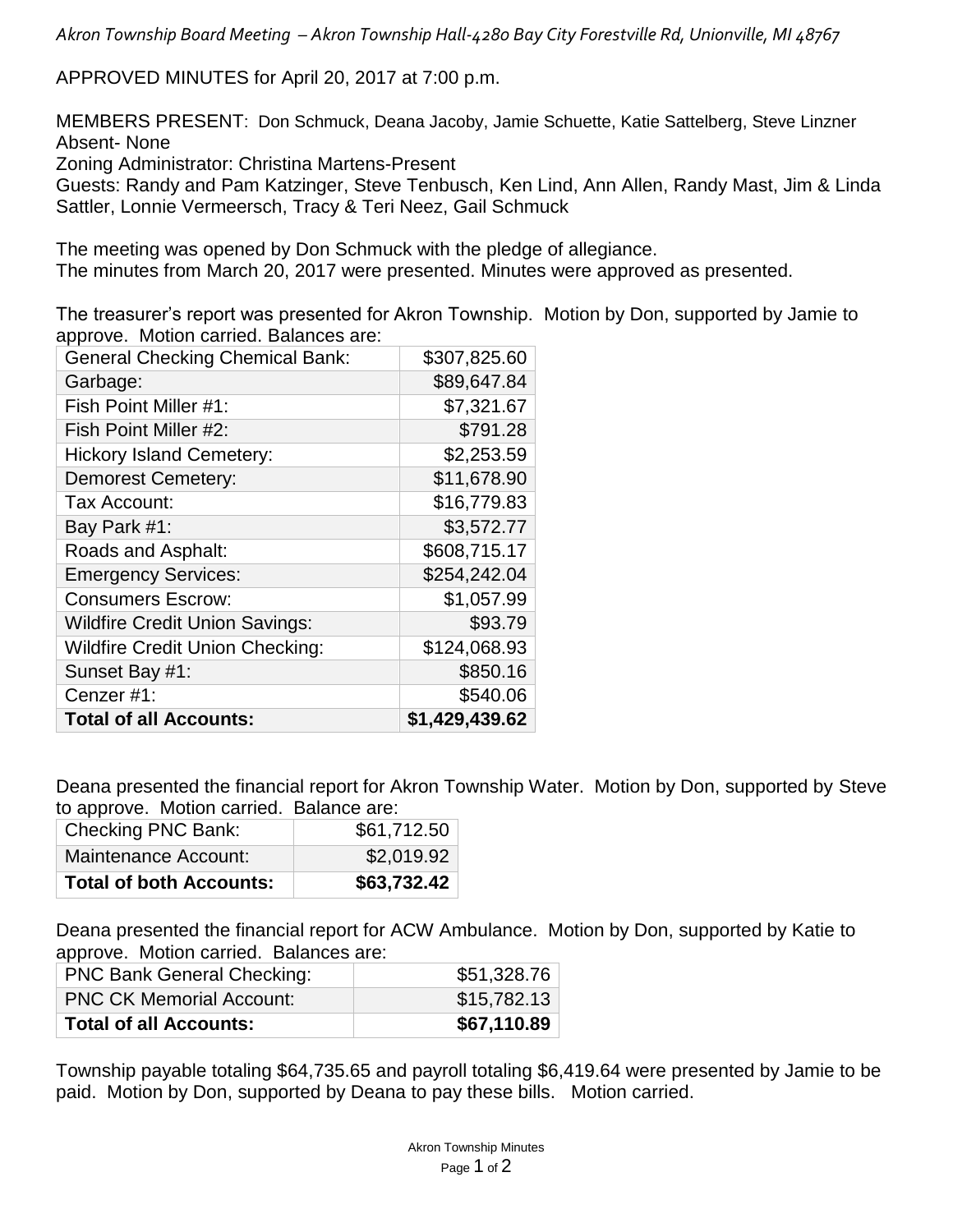*Akron Township Board Meeting – Akron Township Hall-4280 Bay City Forestville Rd, Unionville, MI 48767*

APPROVED MINUTES for April 20, 2017 at 7:00 p.m.

MEMBERS PRESENT: Don Schmuck, Deana Jacoby, Jamie Schuette, Katie Sattelberg, Steve Linzner Absent- None

Zoning Administrator: Christina Martens-Present

Guests: Randy and Pam Katzinger, Steve Tenbusch, Ken Lind, Ann Allen, Randy Mast, Jim & Linda Sattler, Lonnie Vermeersch, Tracy & Teri Neez, Gail Schmuck

The meeting was opened by Don Schmuck with the pledge of allegiance. The minutes from March 20, 2017 were presented. Minutes were approved as presented.

The treasurer's report was presented for Akron Township. Motion by Don, supported by Jamie to approve. Motion carried. Balances are:

| <b>General Checking Chemical Bank:</b> | \$307,825.60   |
|----------------------------------------|----------------|
| Garbage:                               | \$89,647.84    |
| Fish Point Miller #1:                  | \$7,321.67     |
| Fish Point Miller #2:                  | \$791.28       |
| <b>Hickory Island Cemetery:</b>        | \$2,253.59     |
| <b>Demorest Cemetery:</b>              | \$11,678.90    |
| Tax Account:                           | \$16,779.83    |
| Bay Park #1:                           | \$3,572.77     |
| Roads and Asphalt:                     | \$608,715.17   |
| <b>Emergency Services:</b>             | \$254,242.04   |
| <b>Consumers Escrow:</b>               | \$1,057.99     |
| <b>Wildfire Credit Union Savings:</b>  | \$93.79        |
| <b>Wildfire Credit Union Checking:</b> | \$124,068.93   |
| Sunset Bay #1:                         | \$850.16       |
| Cenzer #1:                             | \$540.06       |
| <b>Total of all Accounts:</b>          | \$1,429,439.62 |

Deana presented the financial report for Akron Township Water. Motion by Don, supported by Steve to approve. Motion carried. Balance are:

| Checking PNC Bank:             | \$61,712.50 |
|--------------------------------|-------------|
| Maintenance Account:           | \$2,019.92  |
| <b>Total of both Accounts:</b> | \$63,732.42 |

Deana presented the financial report for ACW Ambulance. Motion by Don, supported by Katie to approve. Motion carried. Balances are:

| <b>Total of all Accounts:</b>     | \$67,110.89 |
|-----------------------------------|-------------|
| <b>PNC CK Memorial Account:</b>   | \$15,782.13 |
| <b>PNC Bank General Checking:</b> | \$51,328.76 |

Township payable totaling \$64,735.65 and payroll totaling \$6,419.64 were presented by Jamie to be paid. Motion by Don, supported by Deana to pay these bills. Motion carried.